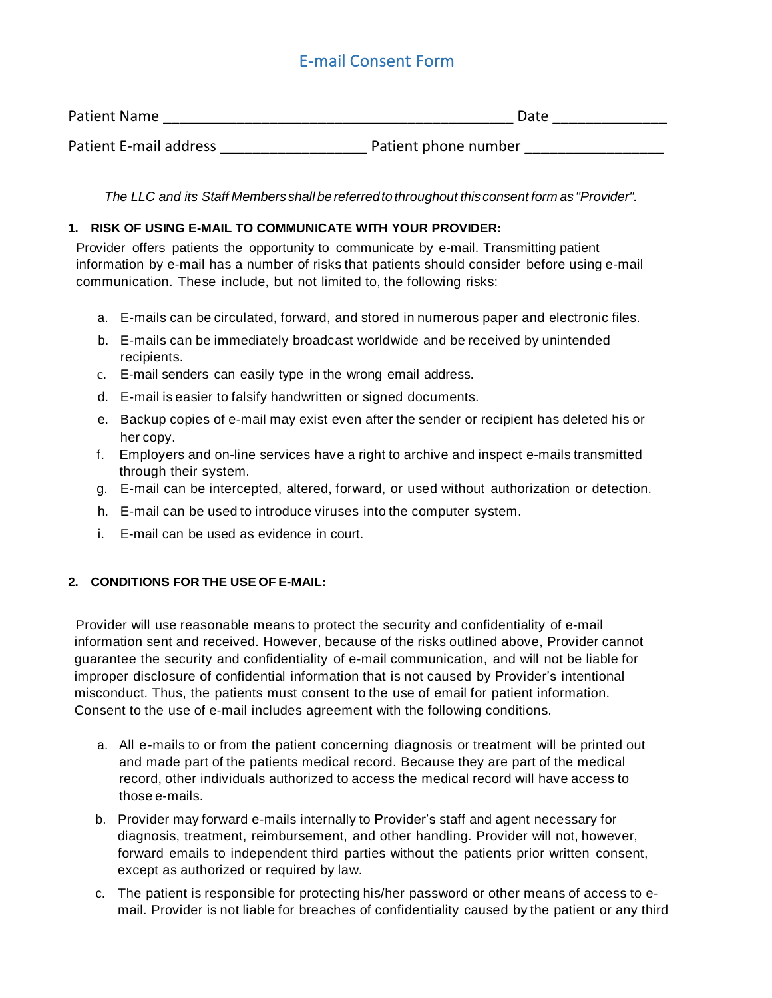## E-mail Consent Form

| <b>Patient Name</b>    | Date                 |
|------------------------|----------------------|
| Patient E-mail address | Patient phone number |

*The LLC and its Staff Members shall bereferredtothroughout this consent form as "Provider".*

### **1. RISK OF USING E-MAIL TO COMMUNICATE WITH YOUR PROVIDER:**

Provider offers patients the opportunity to communicate by e-mail. Transmitting patient information by e-mail has a number of risks that patients should consider before using e-mail communication. These include, but not limited to, the following risks:

- a. E-mails can be circulated, forward, and stored in numerous paper and electronic files.
- b. E-mails can be immediately broadcast worldwide and be received by unintended recipients.
- c. E-mail senders can easily type in the wrong email address.
- d. E-mail is easier to falsify handwritten or signed documents.
- e. Backup copies of e-mail may exist even after the sender or recipient has deleted his or her copy.
- f. Employers and on-line services have a right to archive and inspect e-mails transmitted through their system.
- g. E-mail can be intercepted, altered, forward, or used without authorization or detection.
- h. E-mail can be used to introduce viruses into the computer system.
- i. E-mail can be used as evidence in court.

## **2. CONDITIONS FOR THE USE OF E-MAIL:**

Provider will use reasonable means to protect the security and confidentiality of e-mail information sent and received. However, because of the risks outlined above, Provider cannot guarantee the security and confidentiality of e-mail communication, and will not be liable for improper disclosure of confidential information that is not caused by Provider's intentional misconduct. Thus, the patients must consent to the use of email for patient information. Consent to the use of e-mail includes agreement with the following conditions.

- a. All e-mails to or from the patient concerning diagnosis or treatment will be printed out and made part of the patients medical record. Because they are part of the medical record, other individuals authorized to access the medical record will have access to those e-mails.
- b. Provider may forward e-mails internally to Provider's staff and agent necessary for diagnosis, treatment, reimbursement, and other handling. Provider will not, however, forward emails to independent third parties without the patients prior written consent, except as authorized or required by law.
- c. The patient is responsible for protecting his/her password or other means of access to email. Provider is not liable for breaches of confidentiality caused by the patient or any third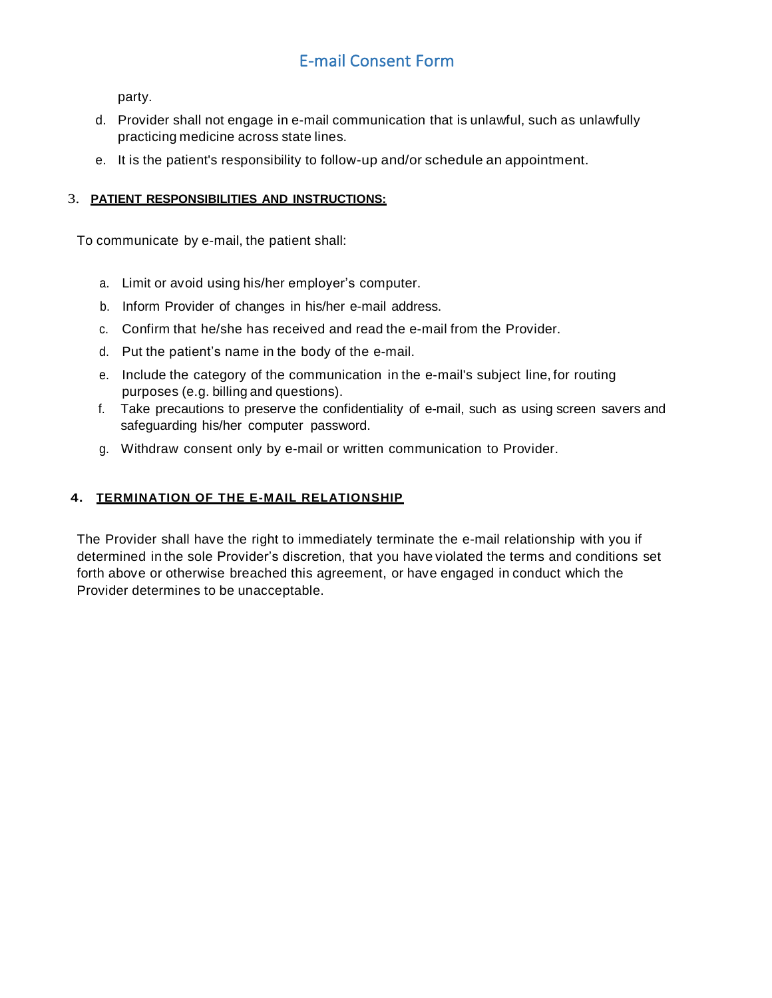# E-mail Consent Form

party.

- d. Provider shall not engage in e-mail communication that is unlawful, such as unlawfully practicing medicine across state lines.
- e. It is the patient's responsibility to follow-up and/or schedule an appointment.

### 3. **PATIENT RESPONSIBILITIES AND INSTRUCTIONS:**

To communicate by e-mail, the patient shall:

- a. Limit or avoid using his/her employer's computer.
- b. Inform Provider of changes in his/her e-mail address.
- c. Confirm that he/she has received and read the e-mail from the Provider.
- d. Put the patient's name in the body of the e-mail.
- e. Include the category of the communication in the e-mail's subject line, for routing purposes (e.g. billing and questions).
- f. Take precautions to preserve the confidentiality of e-mail, such as using screen savers and safeguarding his/her computer password.
- g. Withdraw consent only by e-mail or written communication to Provider.

#### **4. TERMINATION OF THE E-MAIL RELATIONSHIP**

The Provider shall have the right to immediately terminate the e-mail relationship with you if determined in the sole Provider's discretion, that you have violated the terms and conditions set forth above or otherwise breached this agreement, or have engaged in conduct which the Provider determines to be unacceptable.